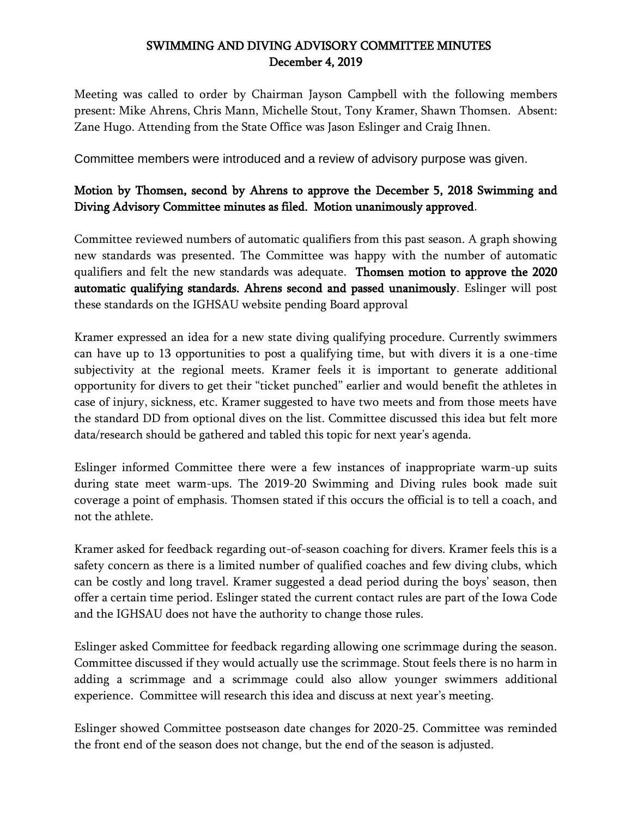## SWIMMING AND DIVING ADVISORY COMMITTEE MINUTES December 4, 2019

Meeting was called to order by Chairman Jayson Campbell with the following members present: Mike Ahrens, Chris Mann, Michelle Stout, Tony Kramer, Shawn Thomsen. Absent: Zane Hugo. Attending from the State Office was Jason Eslinger and Craig Ihnen.

Committee members were introduced and a review of advisory purpose was given.

## Motion by Thomsen, second by Ahrens to approve the December 5, 2018 Swimming and Diving Advisory Committee minutes as filed. Motion unanimously approved.

Committee reviewed numbers of automatic qualifiers from this past season. A graph showing new standards was presented. The Committee was happy with the number of automatic qualifiers and felt the new standards was adequate. Thomsen motion to approve the 2020 automatic qualifying standards. Ahrens second and passed unanimously. Eslinger will post these standards on the IGHSAU website pending Board approval

Kramer expressed an idea for a new state diving qualifying procedure. Currently swimmers can have up to 13 opportunities to post a qualifying time, but with divers it is a one-time subjectivity at the regional meets. Kramer feels it is important to generate additional opportunity for divers to get their "ticket punched" earlier and would benefit the athletes in case of injury, sickness, etc. Kramer suggested to have two meets and from those meets have the standard DD from optional dives on the list. Committee discussed this idea but felt more data/research should be gathered and tabled this topic for next year's agenda.

Eslinger informed Committee there were a few instances of inappropriate warm-up suits during state meet warm-ups. The 2019-20 Swimming and Diving rules book made suit coverage a point of emphasis. Thomsen stated if this occurs the official is to tell a coach, and not the athlete.

Kramer asked for feedback regarding out-of-season coaching for divers. Kramer feels this is a safety concern as there is a limited number of qualified coaches and few diving clubs, which can be costly and long travel. Kramer suggested a dead period during the boys' season, then offer a certain time period. Eslinger stated the current contact rules are part of the Iowa Code and the IGHSAU does not have the authority to change those rules.

Eslinger asked Committee for feedback regarding allowing one scrimmage during the season. Committee discussed if they would actually use the scrimmage. Stout feels there is no harm in adding a scrimmage and a scrimmage could also allow younger swimmers additional experience. Committee will research this idea and discuss at next year's meeting.

Eslinger showed Committee postseason date changes for 2020-25. Committee was reminded the front end of the season does not change, but the end of the season is adjusted.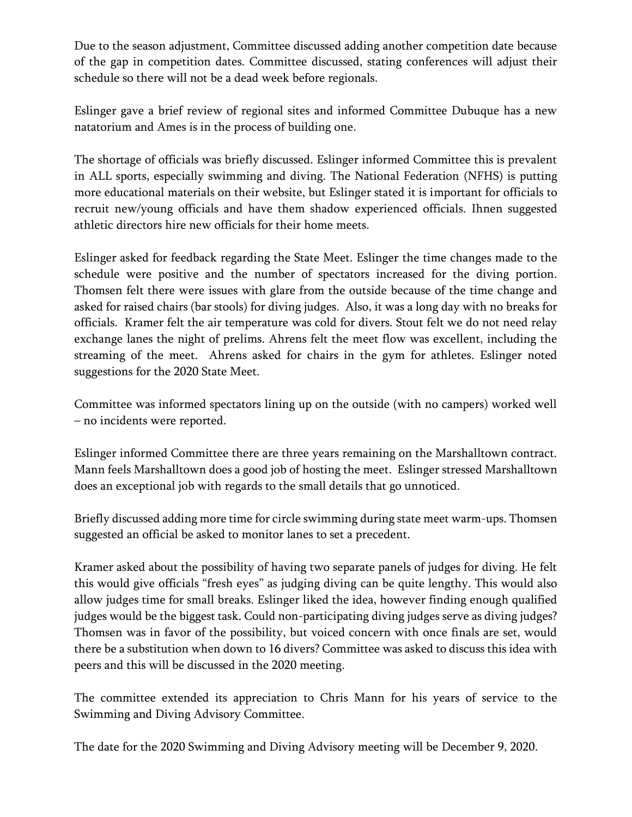Due to the season adjustment, Committee discussed adding another competition date because of the gap in competition dates. Committee discussed, stating conferences will adjust their schedule so there will not be a dead week before regionals.

Eslinger gave a brief review of regional sites and informed Committee Dubuque has a new natatorium and Ames is in the process of building one.

The shortage of officials was briefly discussed. Eslinger informed Committee this is prevalent in ALL sports, especially swimming and diving. The National Federation (NFHS) is putting more educational materials on their website, but Eslinger stated it is important for officials to recruit new/young officials and have them shadow experienced officials. Ihnen suggested athletic directors hire new officials for their home meets.

Eslinger asked for feedback regarding the State Meet. Eslinger the time changes made to the schedule were positive and the number of spectators increased for the diving portion. Thomsen felt there were issues with glare from the outside because of the time change and asked for raised chairs (bar stools) for diving judges. Also, it was a long day with no breaks for officials. Kramer felt the air temperature was cold for divers. Stout felt we do not need relay exchange lanes the night of prelims. Ahrens felt the meet flow was excellent, including the streaming of the meet. Ahrens asked for chairs in the gym for athletes. Eslinger noted suggestions for the 2020 State Meet.

Committee was informed spectators lining up on the outside (with no campers) worked well – no incidents were reported.

Eslinger informed Committee there are three years remaining on the Marshalltown contract. Mann feels Marshalltown does a good job of hosting the meet. Eslinger stressed Marshalltown does an exceptional job with regards to the small details that go unnoticed.

Briefly discussed adding more time for circle swimming during state meet warm-ups. Thomsen suggested an official be asked to monitor lanes to set a precedent.

Kramer asked about the possibility of having two separate panels of judges for diving. He felt this would give officials "fresh eyes" as judging diving can be quite lengthy. This would also allow judges time for small breaks. Eslinger liked the idea, however finding enough qualified judges would be the biggest task. Could non-participating diving judges serve as diving judges? Thomsen was in favor of the possibility, but voiced concern with once finals are set, would there be a substitution when down to 16 divers? Committee was asked to discuss this idea with peers and this will be discussed in the 2020 meeting.

The committee extended its appreciation to Chris Mann for his years of service to the Swimming and Diving Advisory Committee.

The date for the 2020 Swimming and Diving Advisory meeting will be December 9, 2020.